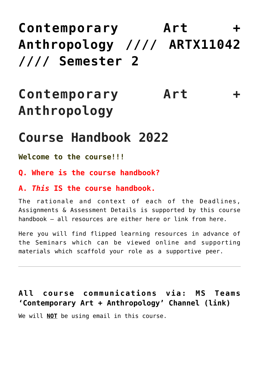## **[Contemporary Art +](https://blogs.ed.ac.uk/macat/antart/) [Anthropology //// ARTX11042](https://blogs.ed.ac.uk/macat/antart/) [//// Semester 2](https://blogs.ed.ac.uk/macat/antart/)**

# **Contemporary Art + Anthropology**

## **Course Handbook 2022**

**Welcome to the course!!!**

**Q. Where is the course handbook?**

#### **A.** *This* **IS the course handbook.**

The rationale and context of each of the Deadlines, Assignments & Assessment Details is supported by this course handbook – all resources are either here or link from here.

Here you will find flipped learning resources in advance of the Seminars which can be viewed online and supporting materials which scaffold your role as a supportive peer.

#### **[All course communications via: MS Teams](https://teams.microsoft.com/l/channel/19%3aveg4JT2EaOOA7BmCcMWQEB-sE8HXfPDqzcPE6euMjNA1%40thread.tacv2/General?groupId=59b22017-3035-4af5-9529-9bb2ffc51221&tenantId=2e9f06b0-1669-4589-8789-10a06934dc61) ['Contemporary Art + Anthropology' Channel \(link\)](https://teams.microsoft.com/l/channel/19%3aveg4JT2EaOOA7BmCcMWQEB-sE8HXfPDqzcPE6euMjNA1%40thread.tacv2/General?groupId=59b22017-3035-4af5-9529-9bb2ffc51221&tenantId=2e9f06b0-1669-4589-8789-10a06934dc61)**

We will **NOT** be using email in this course.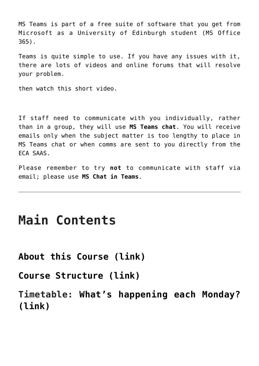MS Teams is part of a free suite of software that you get from Microsoft as a University of Edinburgh student (MS Office 365).

Teams is quite simple to use. If you have any issues with it, there are lots of videos and online forums that will resolve your problem.

then watch this short video.

If staff need to communicate with you individually, rather than in a group, they will use **MS Teams chat**. You will receive emails only when the subject matter is too lengthy to place in MS Teams chat or when comms are sent to you directly from the ECA SAAS.

Please remember to try **not** to communicate with staff via email; please use **MS Chat in Teams**.

### **Main Contents**

**[About this Course \(link\)](https://blogs.ed.ac.uk/macat/antart/about/)**

**[Course Structure \(link\)](https://blogs.ed.ac.uk/macat/antart/contemporary-art-anthropology-course-structure/)**

**Timetable: [What's happening each Monday?](https://blogs.ed.ac.uk/macat/antart/timetable/) [\(link\)](https://blogs.ed.ac.uk/macat/antart/timetable/)**